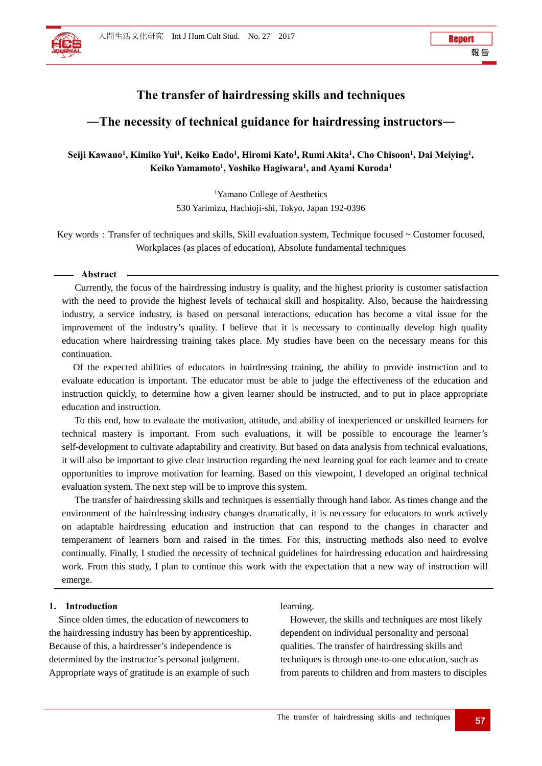# **The transfer of hairdressing skills and techniques**

# **―The necessity of technical guidance for hairdressing instructors―**

## Seiji Kawano<sup>1</sup>, Kimiko Yui<sup>1</sup>, Keiko Endo<sup>1</sup>, Hiromi Kato<sup>1</sup>, Rumi Akita<sup>1</sup>, Cho Chisoon<sup>1</sup>, Dai Meiying<sup>1</sup>, **Keiko Yamamoto1 , Yoshiko Hagiwara1 , and Ayami Kuroda1**

1 Yamano College of Aesthetics 530 Yarimizu, Hachioji-shi, Tokyo, Japan 192-0396

Key words: Transfer of techniques and skills, Skill evaluation system, Technique focused ~ Customer focused, Workplaces (as places of education), Absolute fundamental techniques

### **Abstract**

Currently, the focus of the hairdressing industry is quality, and the highest priority is customer satisfaction with the need to provide the highest levels of technical skill and hospitality. Also, because the hairdressing industry, a service industry, is based on personal interactions, education has become a vital issue for the improvement of the industry's quality. I believe that it is necessary to continually develop high quality education where hairdressing training takes place. My studies have been on the necessary means for this continuation.

Of the expected abilities of educators in hairdressing training, the ability to provide instruction and to evaluate education is important. The educator must be able to judge the effectiveness of the education and instruction quickly, to determine how a given learner should be instructed, and to put in place appropriate education and instruction.

To this end, how to evaluate the motivation, attitude, and ability of inexperienced or unskilled learners for technical mastery is important. From such evaluations, it will be possible to encourage the learner's self-development to cultivate adaptability and creativity. But based on data analysis from technical evaluations, it will also be important to give clear instruction regarding the next learning goal for each learner and to create opportunities to improve motivation for learning. Based on this viewpoint, I developed an original technical evaluation system. The next step will be to improve this system.

The transfer of hairdressing skills and techniques is essentially through hand labor. As times change and the environment of the hairdressing industry changes dramatically, it is necessary for educators to work actively on adaptable hairdressing education and instruction that can respond to the changes in character and temperament of learners born and raised in the times. For this, instructing methods also need to evolve continually. Finally, I studied the necessity of technical guidelines for hairdressing education and hairdressing work. From this study, I plan to continue this work with the expectation that a new way of instruction will emerge.

## **1. Introduction**

Since olden times, the education of newcomers to the hairdressing industry has been by apprenticeship. Because of this, a hairdresser's independence is determined by the instructor's personal judgment. Appropriate ways of gratitude is an example of such

learning.

However, the skills and techniques are most likely dependent on individual personality and personal qualities. The transfer of hairdressing skills and techniques is through one-to-one education, such as from parents to children and from masters to disciples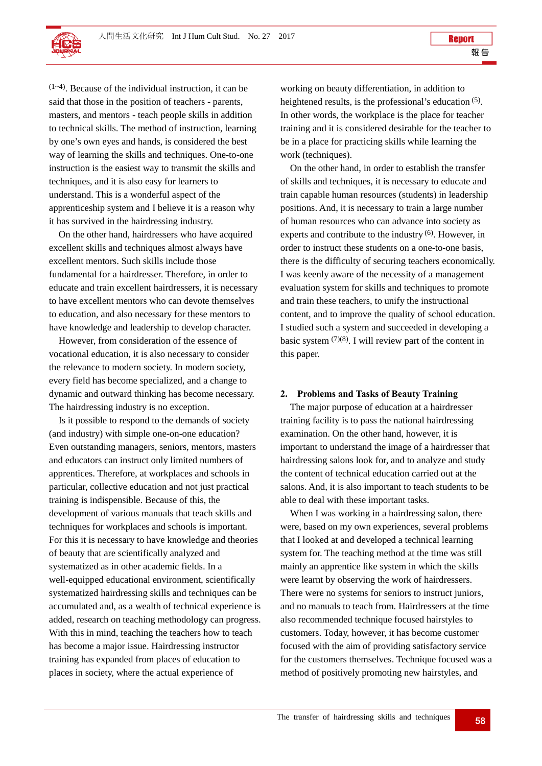

**Report** 

 $(1-4)$ . Because of the individual instruction, it can be said that those in the position of teachers - parents, masters, and mentors - teach people skills in addition to technical skills. The method of instruction, learning by one's own eyes and hands, is considered the best way of learning the skills and techniques. One-to-one instruction is the easiest way to transmit the skills and techniques, and it is also easy for learners to understand. This is a wonderful aspect of the apprenticeship system and I believe it is a reason why it has survived in the hairdressing industry.

On the other hand, hairdressers who have acquired excellent skills and techniques almost always have excellent mentors. Such skills include those fundamental for a hairdresser. Therefore, in order to educate and train excellent hairdressers, it is necessary to have excellent mentors who can devote themselves to education, and also necessary for these mentors to have knowledge and leadership to develop character.

However, from consideration of the essence of vocational education, it is also necessary to consider the relevance to modern society. In modern society, every field has become specialized, and a change to dynamic and outward thinking has become necessary. The hairdressing industry is no exception.

Is it possible to respond to the demands of society (and industry) with simple one-on-one education? Even outstanding managers, seniors, mentors, masters and educators can instruct only limited numbers of apprentices. Therefore, at workplaces and schools in particular, collective education and not just practical training is indispensible. Because of this, the development of various manuals that teach skills and techniques for workplaces and schools is important. For this it is necessary to have knowledge and theories of beauty that are scientifically analyzed and systematized as in other academic fields. In a well-equipped educational environment, scientifically systematized hairdressing skills and techniques can be accumulated and, as a wealth of technical experience is added, research on teaching methodology can progress. With this in mind, teaching the teachers how to teach has become a major issue. Hairdressing instructor training has expanded from places of education to places in society, where the actual experience of

working on beauty differentiation, in addition to heightened results, is the professional's education <sup>(5)</sup>. In other words, the workplace is the place for teacher training and it is considered desirable for the teacher to be in a place for practicing skills while learning the work (techniques).

On the other hand, in order to establish the transfer of skills and techniques, it is necessary to educate and train capable human resources (students) in leadership positions. And, it is necessary to train a large number of human resources who can advance into society as experts and contribute to the industry (6). However, in order to instruct these students on a one-to-one basis, there is the difficulty of securing teachers economically. I was keenly aware of the necessity of a management evaluation system for skills and techniques to promote and train these teachers, to unify the instructional content, and to improve the quality of school education. I studied such a system and succeeded in developing a basic system  $(7)(8)$ . I will review part of the content in this paper.

## **2. Problems and Tasks of Beauty Training**

The major purpose of education at a hairdresser training facility is to pass the national hairdressing examination. On the other hand, however, it is important to understand the image of a hairdresser that hairdressing salons look for, and to analyze and study the content of technical education carried out at the salons. And, it is also important to teach students to be able to deal with these important tasks.

When I was working in a hairdressing salon, there were, based on my own experiences, several problems that I looked at and developed a technical learning system for. The teaching method at the time was still mainly an apprentice like system in which the skills were learnt by observing the work of hairdressers. There were no systems for seniors to instruct juniors, and no manuals to teach from. Hairdressers at the time also recommended technique focused hairstyles to customers. Today, however, it has become customer focused with the aim of providing satisfactory service for the customers themselves. Technique focused was a method of positively promoting new hairstyles, and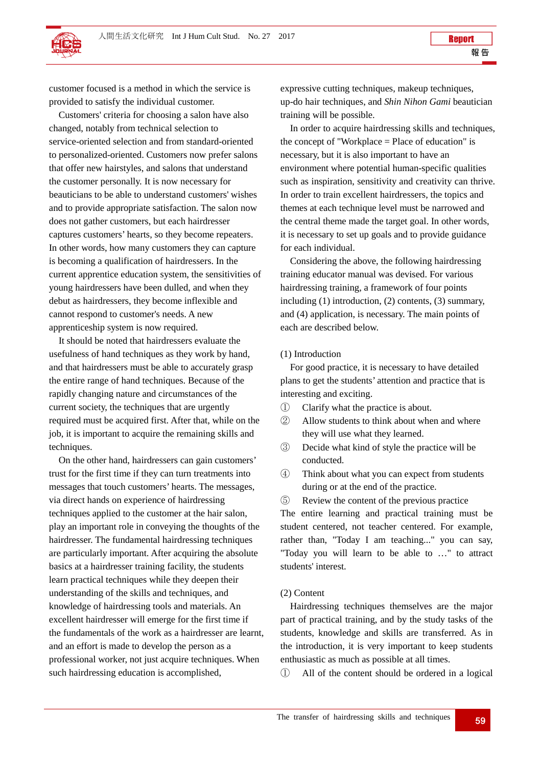customer focused is a method in which the service is provided to satisfy the individual customer.

Customers' criteria for choosing a salon have also changed, notably from technical selection to service-oriented selection and from standard-oriented to personalized-oriented. Customers now prefer salons that offer new hairstyles, and salons that understand the customer personally. It is now necessary for beauticians to be able to understand customers' wishes and to provide appropriate satisfaction. The salon now does not gather customers, but each hairdresser captures customers' hearts, so they become repeaters. In other words, how many customers they can capture is becoming a qualification of hairdressers. In the current apprentice education system, the sensitivities of young hairdressers have been dulled, and when they debut as hairdressers, they become inflexible and cannot respond to customer's needs. A new apprenticeship system is now required.

It should be noted that hairdressers evaluate the usefulness of hand techniques as they work by hand, and that hairdressers must be able to accurately grasp the entire range of hand techniques. Because of the rapidly changing nature and circumstances of the current society, the techniques that are urgently required must be acquired first. After that, while on the job, it is important to acquire the remaining skills and techniques.

On the other hand, hairdressers can gain customers' trust for the first time if they can turn treatments into messages that touch customers' hearts. The messages, via direct hands on experience of hairdressing techniques applied to the customer at the hair salon, play an important role in conveying the thoughts of the hairdresser. The fundamental hairdressing techniques are particularly important. After acquiring the absolute basics at a hairdresser training facility, the students learn practical techniques while they deepen their understanding of the skills and techniques, and knowledge of hairdressing tools and materials. An excellent hairdresser will emerge for the first time if the fundamentals of the work as a hairdresser are learnt, and an effort is made to develop the person as a professional worker, not just acquire techniques. When such hairdressing education is accomplished,

expressive cutting techniques, makeup techniques, up-do hair techniques, and *Shin Nihon Gami* beautician training will be possible.

In order to acquire hairdressing skills and techniques, the concept of "Workplace = Place of education" is necessary, but it is also important to have an environment where potential human-specific qualities such as inspiration, sensitivity and creativity can thrive. In order to train excellent hairdressers, the topics and themes at each technique level must be narrowed and the central theme made the target goal. In other words, it is necessary to set up goals and to provide guidance for each individual.

Considering the above, the following hairdressing training educator manual was devised. For various hairdressing training, a framework of four points including (1) introduction, (2) contents, (3) summary, and (4) application, is necessary. The main points of each are described below.

## (1) Introduction

For good practice, it is necessary to have detailed plans to get the students' attention and practice that is interesting and exciting.

- ① Clarify what the practice is about.
- ② Allow students to think about when and where they will use what they learned.
- ③ Decide what kind of style the practice will be conducted.
- ④ Think about what you can expect from students during or at the end of the practice.
- ⑤ Review the content of the previous practice

The entire learning and practical training must be student centered, not teacher centered. For example, rather than, "Today I am teaching..." you can say, "Today you will learn to be able to …" to attract students' interest.

## (2) Content

 Hairdressing techniques themselves are the major part of practical training, and by the study tasks of the students, knowledge and skills are transferred. As in the introduction, it is very important to keep students enthusiastic as much as possible at all times.

① All of the content should be ordered in a logical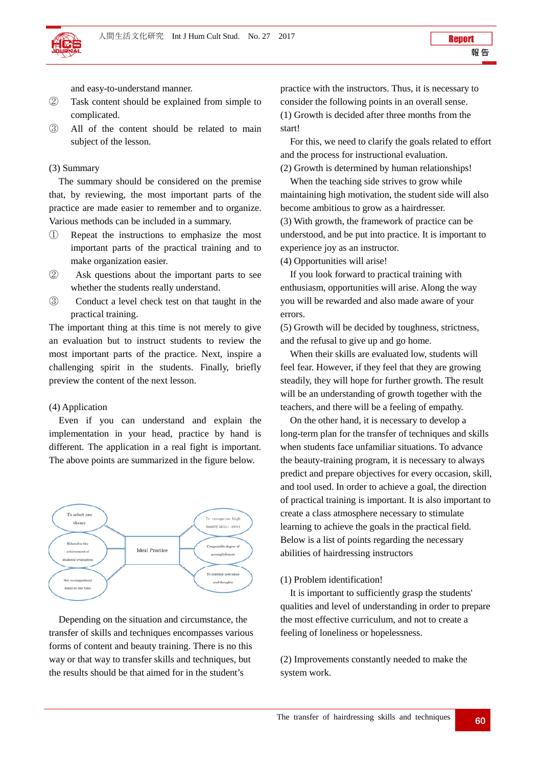and easy-to-understand manner.

- ② Task content should be explained from simple to complicated.
- ③ All of the content should be related to main subject of the lesson.

## (3) Summary

 The summary should be considered on the premise that, by reviewing, the most important parts of the practice are made easier to remember and to organize. Various methods can be included in a summary.

- ① Repeat the instructions to emphasize the most important parts of the practical training and to make organization easier.
- ② Ask questions about the important parts to see whether the students really understand.
- ③ Conduct a level check test on that taught in the practical training.

The important thing at this time is not merely to give an evaluation but to instruct students to review the most important parts of the practice. Next, inspire a challenging spirit in the students. Finally, briefly preview the content of the next lesson.

## (4) Application

 Even if you can understand and explain the implementation in your head, practice by hand is different. The application in a real fight is important. The above points are summarized in the figure below.



Depending on the situation and circumstance, the transfer of skills and techniques encompasses various forms of content and beauty training. There is no this way or that way to transfer skills and techniques, but the results should be that aimed for in the student's

practice with the instructors. Thus, it is necessary to consider the following points in an overall sense. (1) Growth is decided after three months from the start!

For this, we need to clarify the goals related to effort and the process for instructional evaluation. (2) Growth is determined by human relationships!

When the teaching side strives to grow while maintaining high motivation, the student side will also become ambitious to grow as a hairdresser. (3) With growth, the framework of practice can be understood, and be put into practice. It is important to experience joy as an instructor.

(4) Opportunities will arise!

If you look forward to practical training with enthusiasm, opportunities will arise. Along the way you will be rewarded and also made aware of your errors.

(5) Growth will be decided by toughness, strictness, and the refusal to give up and go home.

When their skills are evaluated low, students will feel fear. However, if they feel that they are growing steadily, they will hope for further growth. The result will be an understanding of growth together with the teachers, and there will be a feeling of empathy.

On the other hand, it is necessary to develop a long-term plan for the transfer of techniques and skills when students face unfamiliar situations. To advance the beauty-training program, it is necessary to always predict and prepare objectives for every occasion, skill, and tool used. In order to achieve a goal, the direction of practical training is important. It is also important to create a class atmosphere necessary to stimulate learning to achieve the goals in the practical field. Below is a list of points regarding the necessary abilities of hairdressing instructors

## (1) Problem identification!

It is important to sufficiently grasp the students' qualities and level of understanding in order to prepare the most effective curriculum, and not to create a feeling of loneliness or hopelessness.

(2) Improvements constantly needed to make the system work.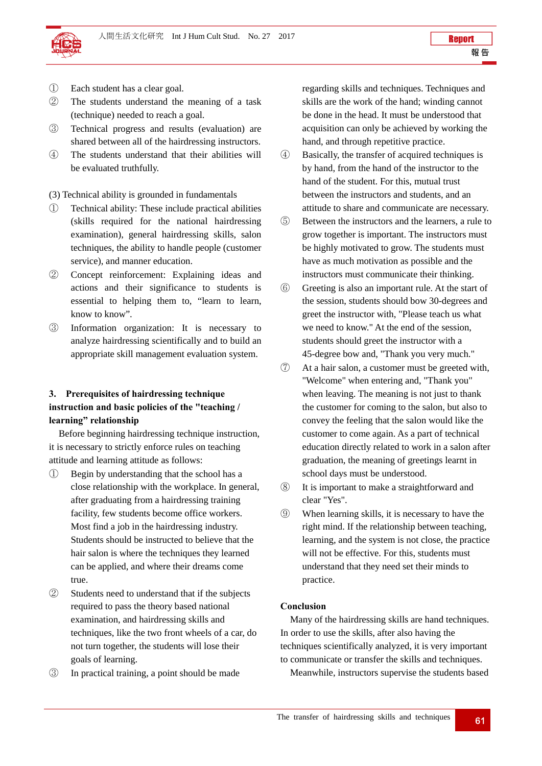

- ① Each student has a clear goal.
- ② The students understand the meaning of a task (technique) needed to reach a goal.
- ③ Technical progress and results (evaluation) are shared between all of the hairdressing instructors.
- ④ The students understand that their abilities will be evaluated truthfully.

(3) Technical ability is grounded in fundamentals

- ① Technical ability: These include practical abilities (skills required for the national hairdressing examination), general hairdressing skills, salon techniques, the ability to handle people (customer service), and manner education.
- ② Concept reinforcement: Explaining ideas and actions and their significance to students is essential to helping them to, "learn to learn, know to know".
- ③ Information organization: It is necessary to analyze hairdressing scientifically and to build an appropriate skill management evaluation system.

## **3. Prerequisites of hairdressing technique instruction and basic policies of the "teaching / learning" relationship**

Before beginning hairdressing technique instruction, it is necessary to strictly enforce rules on teaching attitude and learning attitude as follows:

- ① Begin by understanding that the school has a close relationship with the workplace. In general, after graduating from a hairdressing training facility, few students become office workers. Most find a job in the hairdressing industry. Students should be instructed to believe that the hair salon is where the techniques they learned can be applied, and where their dreams come true.
- ② Students need to understand that if the subjects required to pass the theory based national examination, and hairdressing skills and techniques, like the two front wheels of a car, do not turn together, the students will lose their goals of learning.
- ③ In practical training, a point should be made

regarding skills and techniques. Techniques and skills are the work of the hand; winding cannot be done in the head. It must be understood that acquisition can only be achieved by working the hand, and through repetitive practice.

- ④ Basically, the transfer of acquired techniques is by hand, from the hand of the instructor to the hand of the student. For this, mutual trust between the instructors and students, and an attitude to share and communicate are necessary.
- ⑤ Between the instructors and the learners, a rule to grow together is important. The instructors must be highly motivated to grow. The students must have as much motivation as possible and the instructors must communicate their thinking.
- ⑥ Greeting is also an important rule. At the start of the session, students should bow 30-degrees and greet the instructor with, "Please teach us what we need to know." At the end of the session, students should greet the instructor with a 45-degree bow and, "Thank you very much."
- ⑦ At a hair salon, a customer must be greeted with, "Welcome" when entering and, "Thank you" when leaving. The meaning is not just to thank the customer for coming to the salon, but also to convey the feeling that the salon would like the customer to come again. As a part of technical education directly related to work in a salon after graduation, the meaning of greetings learnt in school days must be understood.
- ⑧ It is important to make a straightforward and clear "Yes".
- ⑨ When learning skills, it is necessary to have the right mind. If the relationship between teaching, learning, and the system is not close, the practice will not be effective. For this, students must understand that they need set their minds to practice.

## **Conclusion**

Many of the hairdressing skills are hand techniques. In order to use the skills, after also having the techniques scientifically analyzed, it is very important to communicate or transfer the skills and techniques.

Meanwhile, instructors supervise the students based